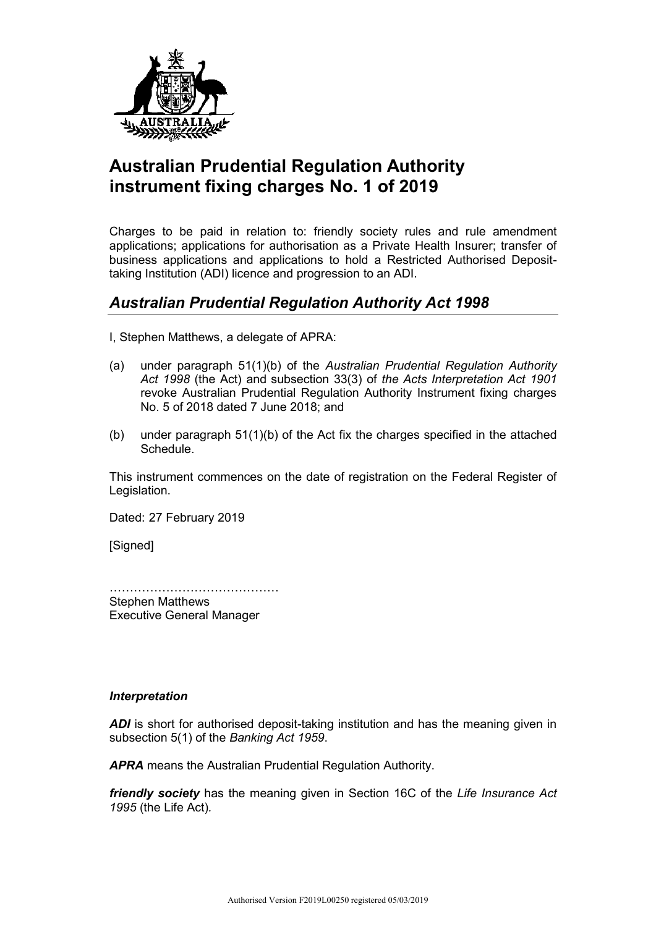

## **Australian Prudential Regulation Authority instrument fixing charges No. 1 of 2019**

Charges to be paid in relation to: friendly society rules and rule amendment applications; applications for authorisation as a Private Health Insurer; transfer of business applications and applications to hold a Restricted Authorised Deposittaking Institution (ADI) licence and progression to an ADI.

## *Australian Prudential Regulation Authority Act 1998*

I, Stephen Matthews, a delegate of APRA:

- (a) under paragraph 51(1)(b) of the *Australian Prudential Regulation Authority Act 1998* (the Act) and subsection 33(3) of *the Acts Interpretation Act 1901* revoke Australian Prudential Regulation Authority Instrument fixing charges No. 5 of 2018 dated 7 June 2018; and
- (b) under paragraph 51(1)(b) of the Act fix the charges specified in the attached **Schedule**

This instrument commences on the date of registration on the Federal Register of Legislation.

Dated: 27 February 2019

[Signed]

……………………………………

Stephen Matthews Executive General Manager

## *Interpretation*

ADI is short for authorised deposit-taking institution and has the meaning given in subsection 5(1) of the *Banking Act 1959*.

*APRA* means the Australian Prudential Regulation Authority.

*friendly society* has the meaning given in Section 16C of the *Life Insurance Act 1995* (the Life Act)*.*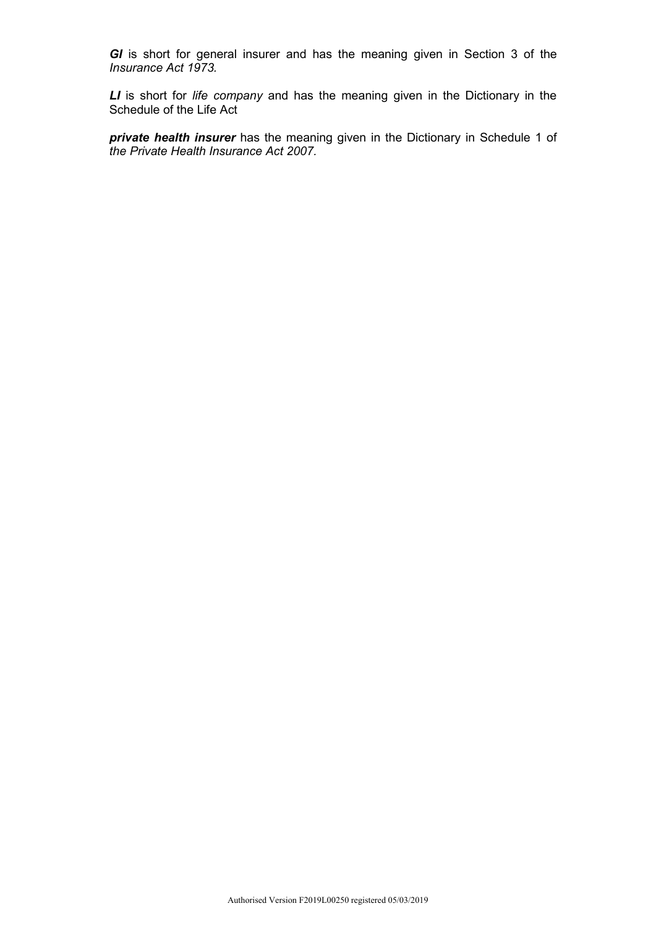*GI* is short for general insurer and has the meaning given in Section 3 of the *Insurance Act 1973.*

*LI* is short for *life company* and has the meaning given in the Dictionary in the Schedule of the Life Act

*private health insurer* has the meaning given in the Dictionary in Schedule 1 of *the Private Health Insurance Act 2007.*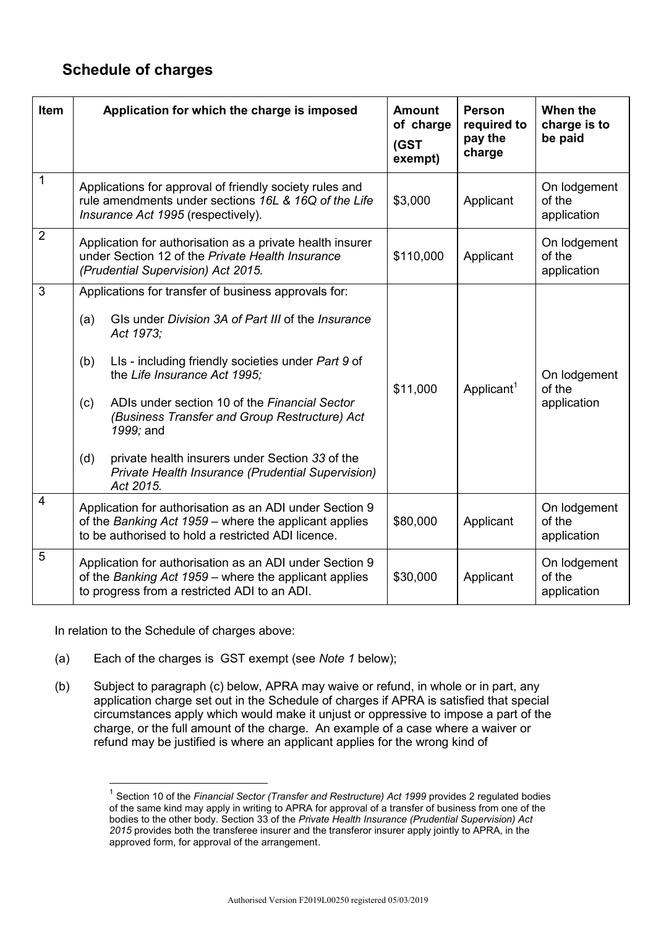## **Schedule of charges**

| Item                    | Application for which the charge is imposed                                                                                                                                                                                                                                                                                                                                                                                                                                   | <b>Amount</b><br>of charge<br>(GST<br>exempt) | <b>Person</b><br>required to<br>pay the<br>charge | When the<br>charge is to<br>be paid   |
|-------------------------|-------------------------------------------------------------------------------------------------------------------------------------------------------------------------------------------------------------------------------------------------------------------------------------------------------------------------------------------------------------------------------------------------------------------------------------------------------------------------------|-----------------------------------------------|---------------------------------------------------|---------------------------------------|
| 1                       | Applications for approval of friendly society rules and<br>rule amendments under sections 16L & 16Q of the Life<br>Insurance Act 1995 (respectively).                                                                                                                                                                                                                                                                                                                         | \$3,000                                       | Applicant                                         | On lodgement<br>of the<br>application |
| $\overline{2}$          | Application for authorisation as a private health insurer<br>under Section 12 of the Private Health Insurance<br>(Prudential Supervision) Act 2015.                                                                                                                                                                                                                                                                                                                           | \$110,000                                     | Applicant                                         | On lodgement<br>of the<br>application |
| $\overline{3}$          | Applications for transfer of business approvals for:<br>GIs under Division 3A of Part III of the Insurance<br>(a)<br>Act 1973;<br>LIs - including friendly societies under Part 9 of<br>(b)<br>the Life Insurance Act 1995;<br>ADIs under section 10 of the Financial Sector<br>(c)<br>(Business Transfer and Group Restructure) Act<br>1999; and<br>private health insurers under Section 33 of the<br>(d)<br>Private Health Insurance (Prudential Supervision)<br>Act 2015. | \$11,000                                      | Applicant <sup>1</sup>                            | On lodgement<br>of the<br>application |
| $\overline{\mathbf{4}}$ | Application for authorisation as an ADI under Section 9<br>of the Banking Act 1959 – where the applicant applies<br>to be authorised to hold a restricted ADI licence.                                                                                                                                                                                                                                                                                                        | \$80,000                                      | Applicant                                         | On lodgement<br>of the<br>application |
| 5                       | Application for authorisation as an ADI under Section 9<br>of the Banking Act 1959 - where the applicant applies<br>to progress from a restricted ADI to an ADI.                                                                                                                                                                                                                                                                                                              | \$30,000                                      | Applicant                                         | On lodgement<br>of the<br>application |

In relation to the Schedule of charges above:

 $\overline{a}$ 

- (a) Each of the charges is GST exempt (see *Note 1* below);
- (b) Subject to paragraph (c) below, APRA may waive or refund, in whole or in part, any application charge set out in the Schedule of charges if APRA is satisfied that special circumstances apply which would make it unjust or oppressive to impose a part of the charge, or the full amount of the charge. An example of a case where a waiver or refund may be justified is where an applicant applies for the wrong kind of

<sup>1</sup> Section 10 of the *Financial Sector (Transfer and Restructure) Act 1999* provides 2 regulated bodies of the same kind may apply in writing to APRA for approval of a transfer of business from one of the bodies to the other body. Section 33 of the *Private Health Insurance (Prudential Supervision) Act 2015* provides both the transferee insurer and the transferor insurer apply jointly to APRA, in the approved form, for approval of the arrangement.